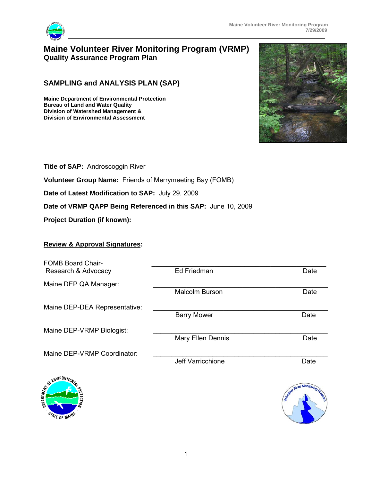

# **Maine Volunteer River Monitoring Program (VRMP) Quality Assurance Program Plan**

## **SAMPLING and ANALYSIS PLAN (SAP)**

**Maine Department of Environmental Protection Bureau of Land and Water Quality Division of Watershed Management & Division of Environmental Assessment** 



**Title of SAP:** Androscoggin River

**Volunteer Group Name:** Friends of Merrymeeting Bay (FOMB)

**Date of Latest Modification to SAP:** July 29, 2009

**Date of VRMP QAPP Being Referenced in this SAP:** June 10, 2009

**Project Duration (if known):**

### **Review & Approval Signatures:**

| <b>FOMB Board Chair-</b><br>Research & Advocacy | Ed Friedman              | Date                   |
|-------------------------------------------------|--------------------------|------------------------|
| Maine DEP QA Manager:                           |                          |                        |
|                                                 | <b>Malcolm Burson</b>    | Date                   |
| Maine DEP-DEA Representative:                   |                          |                        |
|                                                 | <b>Barry Mower</b>       | Date                   |
| Maine DEP-VRMP Biologist:                       |                          |                        |
|                                                 | <b>Mary Ellen Dennis</b> | Date                   |
| Maine DEP-VRMP Coordinator:                     |                          |                        |
|                                                 | Jeff Varricchione        | Date                   |
| OF ENVIRONMEN                                   |                          |                        |
|                                                 |                          | <b>Qiver Monitorin</b> |



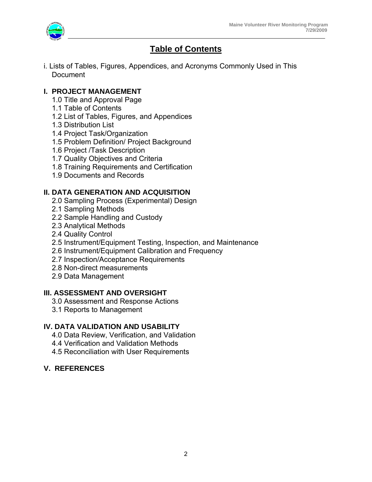

# **Table of Contents**

i. Lists of Tables, Figures, Appendices, and Acronyms Commonly Used in This **Document** 

## **I. PROJECT MANAGEMENT**

- 1.0 Title and Approval Page
- 1.1 Table of Contents
- 1.2 List of Tables, Figures, and Appendices
- 1.3 Distribution List
- 1.4 Project Task/Organization
- 1.5 Problem Definition/ Project Background
- 1.6 Project /Task Description
- 1.7 Quality Objectives and Criteria
- 1.8 Training Requirements and Certification
- 1.9 Documents and Records

## **II. DATA GENERATION AND ACQUISITION**

- 2.0 Sampling Process (Experimental) Design
- 2.1 Sampling Methods
- 2.2 Sample Handling and Custody
- 2.3 Analytical Methods
- 2.4 Quality Control
- 2.5 Instrument/Equipment Testing, Inspection, and Maintenance
- 2.6 Instrument/Equipment Calibration and Frequency
- 2.7 Inspection/Acceptance Requirements
- 2.8 Non-direct measurements
- 2.9 Data Management

### **III. ASSESSMENT AND OVERSIGHT**

- 3.0 Assessment and Response Actions
- 3.1 Reports to Management

## **IV. DATA VALIDATION AND USABILITY**

- 4.0 Data Review, Verification, and Validation
- 4.4 Verification and Validation Methods
- 4.5 Reconciliation with User Requirements

## **V. REFERENCES**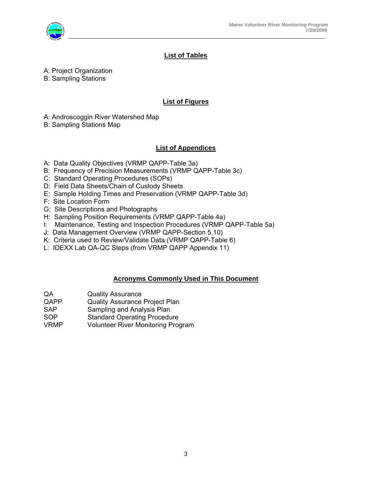

## **List of Tables**

A: Project Organization

B: Sampling Stations

#### **List of Figures**

A: Androscoggin River Watershed Map

B: Sampling Stations Map

## **List of Appendices**

- A: Data Quality Objectives (VRMP QAPP-Table 3a)
- B: Frequency of Precision Measurements (VRMP QAPP-Table 3c)
- C: Standard Operating Procedures (SOPs)
- D: Field Data Sheets/Chain of Custody Sheets
- E: Sample Holding Times and Preservation (VRMP QAPP-Table 3d)
- F: Site Location Form
- G: Site Descriptions and Photographs
- H: Sampling Position Requirements (VRMP QAPP-Table 4a)
- I: Maintenance, Testing and Inspection Procedures (VRMP QAPP-Table 5a)
- J: Data Management Overview (VRMP QAPP-Section 5.10)
- K: Criteria used to Review/Validate Data (VRMP QAPP-Table 6)
- L: IDEXX Lab QA-QC Steps (from VRMP QAPP Appendix 11)

### **Acronyms Commonly Used in This Document**

- QA Quality Assurance<br>
QAPP Quality Assurance
- Quality Assurance Project Plan
- SAP Sampling and Analysis Plan
- SOP Standard Operating Procedure
- VRMP Volunteer River Monitoring Program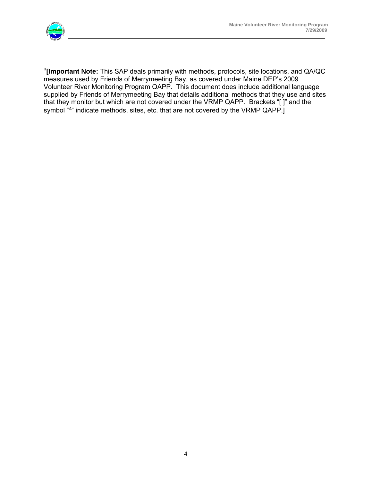

Δ **[Important Note:** This SAP deals primarily with methods, protocols, site locations, and QA/QC measures used by Friends of Merrymeeting Bay, as covered under Maine DEP's 2009 Volunteer River Monitoring Program QAPP. This document does include additional language supplied by Friends of Merrymeeting Bay that details additional methods that they use and sites that they monitor but which are not covered under the VRMP QAPP. Brackets "[ ]" and the symbol "<sup> $\Delta$ "</sup> indicate methods, sites, etc. that are not covered by the VRMP QAPP.]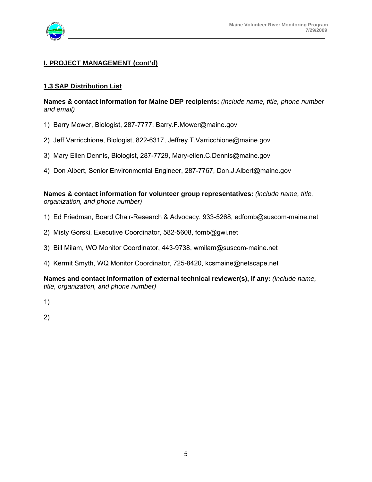

#### **I. PROJECT MANAGEMENT (cont'd)**

#### **1.3 SAP Distribution List**

**Names & contact information for Maine DEP recipients:** *(include name, title, phone number and email)* 

- 1) Barry Mower, Biologist, 287-7777, Barry.F.Mower@maine.gov
- 2) Jeff Varricchione, Biologist, 822-6317, Jeffrey.T.Varricchione@maine.gov
- 3) Mary Ellen Dennis, Biologist, 287-7729, Mary-ellen.C.Dennis@maine.gov
- 4) Don Albert, Senior Environmental Engineer, 287-7767, Don.J.Albert@maine.gov

#### **Names & contact information for volunteer group representatives:** *(include name, title, organization, and phone number)*

- 1) Ed Friedman, Board Chair-Research & Advocacy, 933-5268, edfomb@suscom-maine.net
- 2) Misty Gorski, Executive Coordinator, 582-5608, fomb@gwi.net
- 3) Bill Milam, WQ Monitor Coordinator, 443-9738, wmilam@suscom-maine.net
- 4) Kermit Smyth, WQ Monitor Coordinator, 725-8420, kcsmaine@netscape.net

**Names and contact information of external technical reviewer(s), if any:** *(include name, title, organization, and phone number)* 

- 1)
- 2)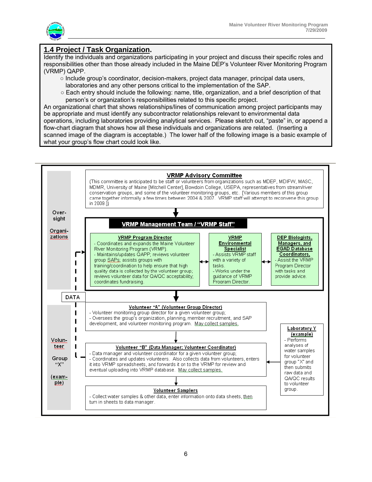

## **1.4 Project / Task Organization.**

Identify the individuals and organizations participating in your project and discuss their specific roles and responsibilities other than those already included in the Maine DEP's Volunteer River Monitoring Program (VRMP) QAPP.

- Include group's coordinator, decision-makers, project data manager, principal data users, laboratories and any other persons critical to the implementation of the SAP.
- Each entry should include the following: name, title, organization, and a brief description of that person's or organization's responsibilities related to this specific project.

An organizational chart that shows relationships/lines of communication among project participants may be appropriate and must identify any subcontractor relationships relevant to environmental data operations, including laboratories providing analytical services. Please sketch out, "paste" in, or append a flow-chart diagram that shows how all these individuals and organizations are related. (Inserting a scanned image of the diagram is acceptable.) The lower half of the following image is a basic example of what your group's flow chart could look like.

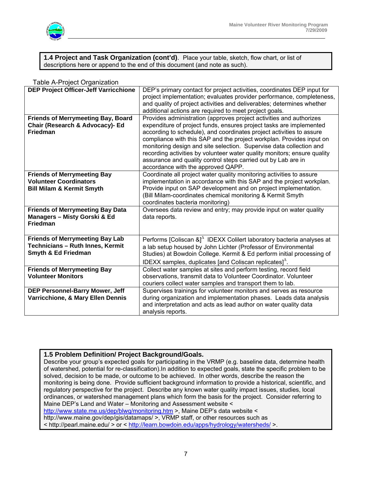

**1.4 Project and Task Organization (cont'd)**. Place your table, sketch, flow chart, or list of descriptions here or append to the end of this document (and note as such).

| <b>DEP Project Officer-Jeff Varricchione</b> | DEP's primary contact for project activities, coordinates DEP input for<br>project implementation; evaluates provider performance, completeness,<br>and quality of project activities and deliverables; determines whether |  |  |  |
|----------------------------------------------|----------------------------------------------------------------------------------------------------------------------------------------------------------------------------------------------------------------------------|--|--|--|
|                                              | additional actions are required to meet project goals.                                                                                                                                                                     |  |  |  |
| <b>Friends of Merrymeeting Bay, Board</b>    | Provides administration (approves project activities and authorizes                                                                                                                                                        |  |  |  |
| Chair (Research & Advocacy)- Ed              | expenditure of project funds, ensures project tasks are implemented                                                                                                                                                        |  |  |  |
| <b>Friedman</b>                              | according to schedule), and coordinates project activities to assure                                                                                                                                                       |  |  |  |
|                                              | compliance with this SAP and the project workplan. Provides input on                                                                                                                                                       |  |  |  |
|                                              | monitoring design and site selection. Supervise data collection and                                                                                                                                                        |  |  |  |
|                                              | recording activities by volunteer water quality monitors; ensure quality                                                                                                                                                   |  |  |  |
|                                              | assurance and quality control steps carried out by Lab are in                                                                                                                                                              |  |  |  |
|                                              | accordance with the approved QAPP.                                                                                                                                                                                         |  |  |  |
| <b>Friends of Merrymeeting Bay</b>           | Coordinate all project water quality monitoring activities to assure                                                                                                                                                       |  |  |  |
| <b>Volunteer Coordinators</b>                | implementation in accordance with this SAP and the project workplan.                                                                                                                                                       |  |  |  |
| <b>Bill Milam &amp; Kermit Smyth</b>         | Provide input on SAP development and on project implementation.                                                                                                                                                            |  |  |  |
|                                              | (Bill Milam-coordinates chemical monitoring & Kermit Smyth                                                                                                                                                                 |  |  |  |
|                                              | coordinates bacteria monitoring)                                                                                                                                                                                           |  |  |  |
| <b>Friends of Merrymeeting Bay Data</b>      | Oversees data review and entry; may provide input on water quality                                                                                                                                                         |  |  |  |
| Managers - Misty Gorski & Ed                 | data reports.                                                                                                                                                                                                              |  |  |  |
| <b>Friedman</b>                              |                                                                                                                                                                                                                            |  |  |  |
|                                              |                                                                                                                                                                                                                            |  |  |  |
| <b>Friends of Merrymeeting Bay Lab</b>       | Performs [Coliscan &] <sup><math>\triangle</math></sup> IDEXX Colilert laboratory bacteria analyses at                                                                                                                     |  |  |  |
| Technicians - Ruth Innes, Kermit             | a lab setup housed by John Lichter (Professor of Environmental                                                                                                                                                             |  |  |  |
| Smyth & Ed Friedman                          | Studies) at Bowdoin College. Kermit & Ed perform initial processing of                                                                                                                                                     |  |  |  |
|                                              | IDEXX samples, duplicates [and Coliscan replicates] $^{\Delta}$ .                                                                                                                                                          |  |  |  |
|                                              |                                                                                                                                                                                                                            |  |  |  |
| <b>Friends of Merrymeeting Bay</b>           | Collect water samples at sites and perform testing, record field                                                                                                                                                           |  |  |  |
| <b>Volunteer Monitors</b>                    | observations, transmit data to Volunteer Coordinator. Volunteer                                                                                                                                                            |  |  |  |
|                                              | couriers collect water samples and transport them to lab.                                                                                                                                                                  |  |  |  |
| <b>DEP Personnel-Barry Mower, Jeff</b>       | Supervises trainings for volunteer monitors and serves as resource                                                                                                                                                         |  |  |  |
| Varricchione, & Mary Ellen Dennis            | during organization and implementation phases. Leads data analysis                                                                                                                                                         |  |  |  |
|                                              | and interpretation and acts as lead author on water quality data                                                                                                                                                           |  |  |  |
|                                              | analysis reports.                                                                                                                                                                                                          |  |  |  |

#### Table A-Project Organization

#### **1.5 Problem Definition/ Project Background/Goals.**

Describe your group's expected goals for participating in the VRMP (e.g. baseline data, determine health of watershed, potential for re-classification).In addition to expected goals, state the specific problem to be solved, decision to be made, or outcome to be achieved. In other words, describe the reason the monitoring is being done. Provide sufficient background information to provide a historical, scientific, and regulatory perspective for the project. Describe any known water quality impact issues, studies, local ordinances, or watershed management plans which form the basis for the project. Consider referring to Maine DEP's Land and Water – Monitoring and Assessment website < http://www.state.me.us/dep/blwq/monitoring.htm >, Maine DEP's data website < http://www.maine.gov/dep/gis/datamaps/ >, VRMP staff, or other resources such as < http://pearl.maine.edu/ > or < http://learn.bowdoin.edu/apps/hydrology/watersheds/ >.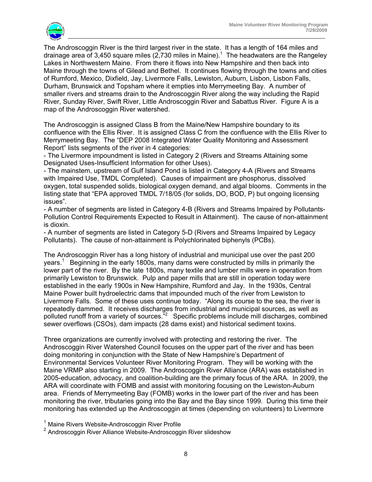

The Androscoggin River is the third largest river in the state. It has a length of 164 miles and drainage area of 3,450 square miles (2,730 miles in Maine).<sup>1</sup> The headwaters are the Rangeley Lakes in Northwestern Maine. From there it flows into New Hampshire and then back into Maine through the towns of Gilead and Bethel. It continues flowing through the towns and cities of Rumford, Mexico, Dixfield, Jay, Livermore Falls, Lewiston, Auburn, Lisbon, Lisbon Falls, Durham, Brunswick and Topsham where it empties into Merrymeeting Bay. A number of smaller rivers and streams drain to the Androscoggin River along the way including the Rapid River, Sunday River, Swift River, Little Androscoggin River and Sabattus River. Figure A is a map of the Androscoggin River watershed.

The Androscoggin is assigned Class B from the Maine/New Hampshire boundary to its confluence with the Ellis River. It is assigned Class C from the confluence with the Ellis River to Merrymeeting Bay. The "DEP 2008 Integrated Water Quality Monitoring and Assessment Report" lists segments of the river in 4 categories:

- The Livermore impoundment is listed in Category 2 (Rivers and Streams Attaining some Designated Uses-Insufficient Information for other Uses).

- The mainstem, upstream of Gulf Island Pond is listed in Category 4-A (Rivers and Streams with Impaired Use, TMDL Completed). Causes of impairment are phosphorus, dissolved oxygen, total suspended solids, biological oxygen demand, and algal blooms. Comments in the listing state that "EPA approved TMDL 7/18/05 (for solids, DO, BOD, P) but ongoing licensing issues".

- A number of segments are listed in Category 4-B (Rivers and Streams Impaired by Pollutants-Pollution Control Requirements Expected to Result in Attainment). The cause of non-attainment is dioxin.

- A number of segments are listed in Category 5-D (Rivers and Streams Impaired by Legacy Pollutants). The cause of non-attainment is Polychlorinated biphenyls (PCBs).

The Androscoggin River has a long history of industrial and municipal use over the past 200 years.<sup>1</sup> Beginning in the early 1800s, many dams were constructed by mills in primarily the lower part of the river. By the late 1800s, many textile and lumber mills were in operation from primarily Lewiston to Brunswick. Pulp and paper mills that are still in operation today were established in the early 1900s in New Hampshire, Rumford and Jay. In the 1930s, Central Maine Power built hydroelectric dams that impounded much of the river from Lewiston to Livermore Falls. Some of these uses continue today. "Along its course to the sea, the river is repeatedly dammed. It receives discharges from industrial and municipal sources, as well as polluted runoff from a variety of sources.<sup>"2</sup> Specific problems include mill discharges, combined sewer overflows (CSOs), dam impacts (28 dams exist) and historical sediment toxins.

Three organizations are currently involved with protecting and restoring the river. The Androscoggin River Watershed Council focuses on the upper part of the river and has been doing monitoring in conjunction with the State of New Hampshire's Department of Environmental Services Volunteer River Monitoring Program. They will be working with the Maine VRMP also starting in 2009. The Androscoggin River Alliance (ARA) was established in 2005-education, advocacy, and coalition-building are the primary focus of the ARA. In 2009, the ARA will coordinate with FOMB and assist with monitoring focusing on the Lewiston-Auburn area. Friends of Merrymeeting Bay (FOMB) works in the lower part of the river and has been monitoring the river, tributaries going into the Bay and the Bay since 1999. During this time their monitoring has extended up the Androscoggin at times (depending on volunteers) to Livermore

<sup>&</sup>lt;sup>1</sup> Maine Rivers Website-Androscoggin River Profile

<sup>&</sup>lt;sup>2</sup> Androscoggin River Alliance Website-Androscoggin River slideshow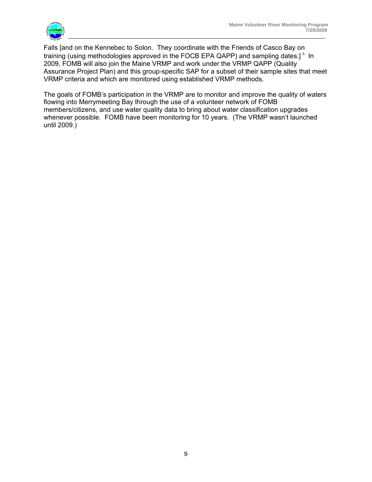

Falls [and on the Kennebec to Solon. They coordinate with the Friends of Casco Bay on training (using methodologies approved in the FOCB EPA QAPP) and sampling dates.]<sup> $\triangle$ </sup> In 2009, FOMB will also join the Maine VRMP and work under the VRMP QAPP (Quality Assurance Project Plan) and this group-specific SAP for a subset of their sample sites that meet VRMP criteria and which are monitored using established VRMP methods.

The goals of FOMB's participation in the VRMP are to monitor and improve the quality of waters flowing into Merrymeeting Bay through the use of a volunteer network of FOMB members/citizens, and use water quality data to bring about water classification upgrades whenever possible. FOMB have been monitoring for 10 years. (The VRMP wasn't launched until 2009.)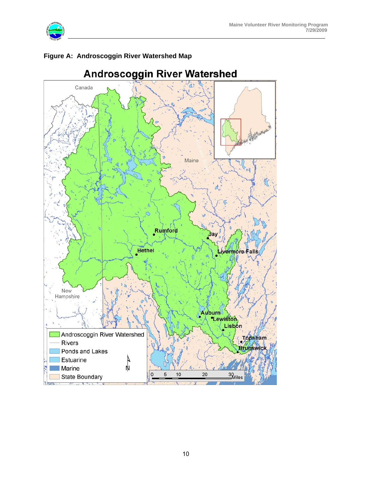



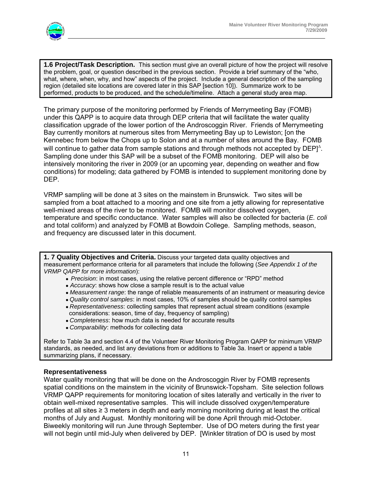

**1.6 Project/Task Description.** This section must give an overall picture of how the project will resolve the problem, goal, or question described in the previous section. Provide a brief summary of the "who, what, where, when, why, and how" aspects of the project. Include a general description of the sampling region (detailed site locations are covered later in this SAP [section 10]). Summarize work to be performed, products to be produced, and the schedule/timeline. Attach a general study area map.

The primary purpose of the monitoring performed by Friends of Merrymeeting Bay (FOMB) under this QAPP is to acquire data through DEP criteria that will facilitate the water quality classification upgrade of the lower portion of the Androscoggin River. Friends of Merrymeeting Bay currently monitors at numerous sites from Merrymeeting Bay up to Lewiston; [on the Kennebec from below the Chops up to Solon and at a number of sites around the Bay. FOMB will continue to gather data from sample stations and through methods not accepted by  $DEF]^{\Delta}$ . Sampling done under this SAP will be a subset of the FOMB monitoring. DEP will also be intensively monitoring the river in 2009 (or an upcoming year, depending on weather and flow conditions) for modeling; data gathered by FOMB is intended to supplement monitoring done by DEP.

VRMP sampling will be done at 3 sites on the mainstem in Brunswick. Two sites will be sampled from a boat attached to a mooring and one site from a jetty allowing for representative well-mixed areas of the river to be monitored. FOMB will monitor dissolved oxygen, temperature and specific conductance. Water samples will also be collected for bacteria (*E. coli* and total coliform) and analyzed by FOMB at Bowdoin College. Sampling methods, season, and frequency are discussed later in this document.

**1. 7 Quality Objectives and Criteria.** Discuss your targeted data quality objectives and measurement performance criteria for all parameters that include the following (*See Appendix 1 of the VRMP QAPP for more information*):

- *● Precision*: in most cases, using the relative percent difference or "RPD" method
- *● Accuracy*: shows how close a sample result is to the actual value
- *● Measurement range*: the range of reliable measurements of an instrument or measuring device
- *● Quality control samples*: in most cases, 10% of samples should be quality control samples
- *● Representativeness*: collecting samples that represent actual stream conditions (example considerations: season, time of day, frequency of sampling)
- *● Completeness*: how much data is needed for accurate results
- *● Comparability*: methods for collecting data

Refer to Table 3a and section 4.4 of the Volunteer River Monitoring Program QAPP for minimum VRMP standards, as needed, and list any deviations from or additions to Table 3a. Insert or append a table summarizing plans, if necessary.

#### **Representativeness**

Water quality monitoring that will be done on the Androscoggin River by FOMB represents spatial conditions on the mainstem in the vicinity of Brunswick-Topsham. Site selection follows VRMP QAPP requirements for monitoring location of sites laterally and vertically in the river to obtain well-mixed representative samples. This will include dissolved oxygen/temperature profiles at all sites ≥ 3 meters in depth and early morning monitoring during at least the critical months of July and August. Monthly monitoring will be done April through mid-October. Biweekly monitoring will run June through September. Use of DO meters during the first year will not begin until mid-July when delivered by DEP. [Winkler titration of DO is used by most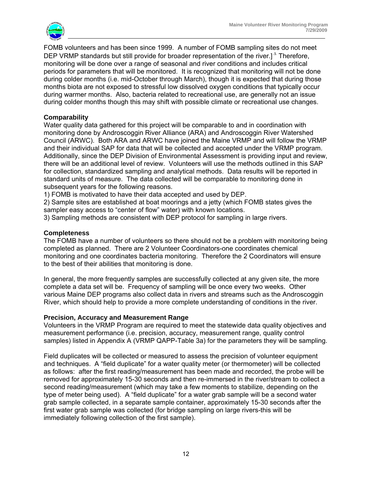

FOMB volunteers and has been since 1999. A number of FOMB sampling sites do not meet DEP VRMP standards but still provide for broader representation of the river.]  $\triangle$  Therefore, monitoring will be done over a range of seasonal and river conditions and includes critical periods for parameters that will be monitored. It is recognized that monitoring will not be done during colder months (i.e. mid-October through March), though it is expected that during those months biota are not exposed to stressful low dissolved oxygen conditions that typically occur during warmer months. Also, bacteria related to recreational use, are generally not an issue during colder months though this may shift with possible climate or recreational use changes.

#### **Comparability**

Water quality data gathered for this project will be comparable to and in coordination with monitoring done by Androscoggin River Alliance (ARA) and Androscoggin River Watershed Council (ARWC). Both ARA and ARWC have joined the Maine VRMP and will follow the VRMP and their individual SAP for data that will be collected and accepted under the VRMP program. Additionally, since the DEP Division of Environmental Assessment is providing input and review, there will be an additional level of review. Volunteers will use the methods outlined in this SAP for collection, standardized sampling and analytical methods. Data results will be reported in standard units of measure. The data collected will be comparable to monitoring done in subsequent years for the following reasons.

1) FOMB is motivated to have their data accepted and used by DEP.

2) Sample sites are established at boat moorings and a jetty (which FOMB states gives the sampler easy access to "center of flow" water) with known locations.

3) Sampling methods are consistent with DEP protocol for sampling in large rivers.

#### **Completeness**

The FOMB have a number of volunteers so there should not be a problem with monitoring being completed as planned. There are 2 Volunteer Coordinators-one coordinates chemical monitoring and one coordinates bacteria monitoring. Therefore the 2 Coordinators will ensure to the best of their abilities that monitoring is done.

In general, the more frequently samples are successfully collected at any given site, the more complete a data set will be. Frequency of sampling will be once every two weeks. Other various Maine DEP programs also collect data in rivers and streams such as the Androscoggin River, which should help to provide a more complete understanding of conditions in the river.

#### **Precision, Accuracy and Measurement Range**

Volunteers in the VRMP Program are required to meet the statewide data quality objectives and measurement performance (i.e. precision, accuracy, measurement range, quality control samples) listed in Appendix A (VRMP QAPP-Table 3a) for the parameters they will be sampling.

Field duplicates will be collected or measured to assess the precision of volunteer equipment and techniques. A "field duplicate" for a water quality meter (or thermometer) will be collected as follows: after the first reading/measurement has been made and recorded, the probe will be removed for approximately 15-30 seconds and then re-immersed in the river/stream to collect a second reading/measurement (which may take a few moments to stabilize, depending on the type of meter being used). A "field duplicate" for a water grab sample will be a second water grab sample collected, in a separate sample container, approximately 15-30 seconds after the first water grab sample was collected (for bridge sampling on large rivers-this will be immediately following collection of the first sample).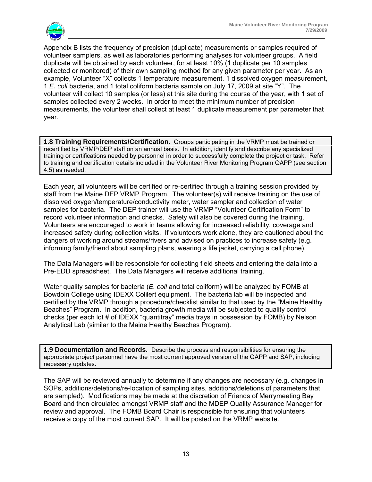

Appendix B lists the frequency of precision (duplicate) measurements or samples required of volunteer samplers, as well as laboratories performing analyses for volunteer groups. A field duplicate will be obtained by each volunteer, for at least 10% (1 duplicate per 10 samples collected or monitored) of their own sampling method for any given parameter per year. As an example, Volunteer "X" collects 1 temperature measurement, 1 dissolved oxygen measurement, 1 *E. coli* bacteria, and 1 total coliform bacteria sample on July 17, 2009 at site "Y". The volunteer will collect 10 samples (or less) at this site during the course of the year, with 1 set of samples collected every 2 weeks. In order to meet the minimum number of precision measurements, the volunteer shall collect at least 1 duplicate measurement per parameter that year.

**1.8 Training Requirements/Certification.** Groups participating in the VRMP must be trained or recertified by VRMP/DEP staff on an annual basis. In addition, identify and describe any specialized training or certifications needed by personnel in order to successfully complete the project or task. Refer to training and certification details included in the Volunteer River Monitoring Program QAPP (see section 4.5) as needed.

Each year, all volunteers will be certified or re-certified through a training session provided by staff from the Maine DEP VRMP Program. The volunteer(s) will receive training on the use of dissolved oxygen/temperature/conductivity meter, water sampler and collection of water samples for bacteria. The DEP trainer will use the VRMP "Volunteer Certification Form" to record volunteer information and checks. Safety will also be covered during the training. Volunteers are encouraged to work in teams allowing for increased reliability, coverage and increased safety during collection visits. If volunteers work alone, they are cautioned about the dangers of working around streams/rivers and advised on practices to increase safety (e.g. informing family/friend about sampling plans, wearing a life jacket, carrying a cell phone).

The Data Managers will be responsible for collecting field sheets and entering the data into a Pre-EDD spreadsheet. The Data Managers will receive additional training.

Water quality samples for bacteria (*E. coli* and total coliform) will be analyzed by FOMB at Bowdoin College using IDEXX Colilert equipment. The bacteria lab will be inspected and certified by the VRMP through a procedure/checklist similar to that used by the "Maine Healthy Beaches" Program. In addition, bacteria growth media will be subjected to quality control checks (per each lot # of IDEXX "quantitray" media trays in possession by FOMB) by Nelson Analytical Lab (similar to the Maine Healthy Beaches Program).

**1.9 Documentation and Records.** Describe the process and responsibilities for ensuring the appropriate project personnel have the most current approved version of the QAPP and SAP, including necessary updates.

The SAP will be reviewed annually to determine if any changes are necessary (e.g. changes in SOPs, additions/deletions/re-location of sampling sites, additions/deletions of parameters that are sampled). Modifications may be made at the discretion of Friends of Merrymeeting Bay Board and then circulated amongst VRMP staff and the MDEP Quality Assurance Manager for review and approval. The FOMB Board Chair is responsible for ensuring that volunteers receive a copy of the most current SAP. It will be posted on the VRMP website.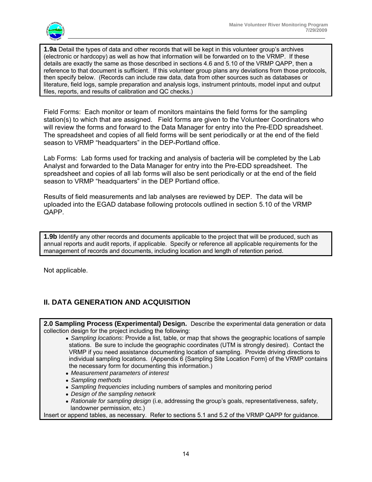

**1.9a** Detail the types of data and other records that will be kept in this volunteer group's archives (electronic or hardcopy) as well as how that information will be forwarded on to the VRMP. If these details are exactly the same as those described in sections 4.6 and 5.10 of the VRMP QAPP, then a reference to that document is sufficient. If this volunteer group plans any deviations from those protocols, then specify below. (Records can include raw data, data from other sources such as databases or literature, field logs, sample preparation and analysis logs, instrument printouts, model input and output files, reports, and results of calibration and QC checks.)

Field Forms: Each monitor or team of monitors maintains the field forms for the sampling station(s) to which that are assigned. Field forms are given to the Volunteer Coordinators who will review the forms and forward to the Data Manager for entry into the Pre-EDD spreadsheet. The spreadsheet and copies of all field forms will be sent periodically or at the end of the field season to VRMP "headquarters" in the DEP-Portland office.

Lab Forms: Lab forms used for tracking and analysis of bacteria will be completed by the Lab Analyst and forwarded to the Data Manager for entry into the Pre-EDD spreadsheet. The spreadsheet and copies of all lab forms will also be sent periodically or at the end of the field season to VRMP "headquarters" in the DEP Portland office.

Results of field measurements and lab analyses are reviewed by DEP. The data will be uploaded into the EGAD database following protocols outlined in section 5.10 of the VRMP QAPP.

**1.9b** Identify any other records and documents applicable to the project that will be produced, such as annual reports and audit reports, if applicable. Specify or reference all applicable requirements for the management of records and documents, including location and length of retention period.

Not applicable.

## **II. DATA GENERATION AND ACQUISITION**

| 2.0 Sampling Process (Experimental) Design. Describe the experimental data generation or data                                                                                                                                                                                                                                                                                                       |
|-----------------------------------------------------------------------------------------------------------------------------------------------------------------------------------------------------------------------------------------------------------------------------------------------------------------------------------------------------------------------------------------------------|
| collection design for the project including the following:                                                                                                                                                                                                                                                                                                                                          |
| • Sampling locations: Provide a list, table, or map that shows the geographic locations of sample<br>stations. Be sure to include the geographic coordinates (UTM is strongly desired). Contact the<br>VRMP if you need assistance documenting location of sampling. Provide driving directions to<br>individual sampling locations. (Appendix 6 {Sampling Site Location Form} of the VRMP contains |
| the necessary form for documenting this information.)                                                                                                                                                                                                                                                                                                                                               |
| • Measurement parameters of interest                                                                                                                                                                                                                                                                                                                                                                |
| • Sampling methods                                                                                                                                                                                                                                                                                                                                                                                  |
| • Sampling frequencies including numbers of samples and monitoring period                                                                                                                                                                                                                                                                                                                           |
| • Design of the sampling network                                                                                                                                                                                                                                                                                                                                                                    |
| • Rationale for sampling design (i.e, addressing the group's goals, representativeness, safety,<br>landowner permission, etc.)                                                                                                                                                                                                                                                                      |
| Insert or append tables, as necessary. Refer to sections 5.1 and 5.2 of the VRMP QAPP for guidance.                                                                                                                                                                                                                                                                                                 |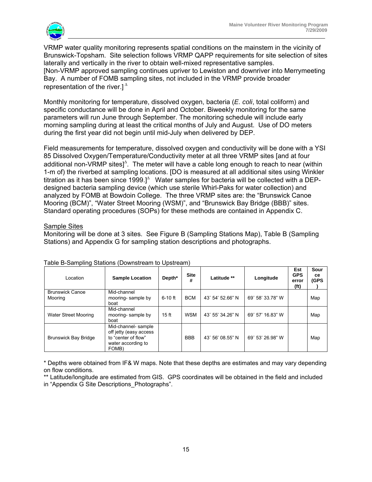

VRMP water quality monitoring represents spatial conditions on the mainstem in the vicinity of Brunswick-Topsham. Site selection follows VRMP QAPP requirements for site selection of sites laterally and vertically in the river to obtain well-mixed representative samples. [Non-VRMP approved sampling continues upriver to Lewiston and downriver into Merrymeeting Bay. A number of FOMB sampling sites, not included in the VRMP provide broader representation of the river.]  $^{\Delta}$ 

Monthly monitoring for temperature, dissolved oxygen, bacteria (*E. coli*, total coliform) and specific conductance will be done in April and October. Biweekly monitoring for the same parameters will run June through September. The monitoring schedule will include early morning sampling during at least the critical months of July and August. Use of DO meters during the first year did not begin until mid-July when delivered by DEP.

Field measurements for temperature, dissolved oxygen and conductivity will be done with a YSI 85 Dissolved Oxygen/Temperature/Conductivity meter at all three VRMP sites [and at four additional non-VRMP sites] $^{\Delta}$ . The meter will have a cable long enough to reach to near (within 1-m of) the riverbed at sampling locations. [DO is measured at all additional sites using Winkler titration as it has been since 1999.] $\triangle$  Water samples for bacteria will be collected with a DEPdesigned bacteria sampling device (which use sterile Whirl-Paks for water collection) and analyzed by FOMB at Bowdoin College. The three VRMP sites are: the "Brunswick Canoe Mooring (BCM)", "Water Street Mooring (WSM)", and "Brunswick Bay Bridge (BBB)" sites. Standard operating procedures (SOPs) for these methods are contained in Appendix C.

#### Sample Sites

Monitoring will be done at 3 sites. See Figure B (Sampling Stations Map), Table B (Sampling Stations) and Appendix G for sampling station descriptions and photographs.

| Location                          | <b>Sample Location</b>                                                                              | Depth*    | <b>Site</b><br># | Latitude **      | Longitude        | Est<br><b>GPS</b><br>error<br>(ft) | Sour<br><b>ce</b><br><b>(GPS</b> |
|-----------------------------------|-----------------------------------------------------------------------------------------------------|-----------|------------------|------------------|------------------|------------------------------------|----------------------------------|
| <b>Brunswick Canoe</b><br>Mooring | Mid-channel<br>mooring-sample by<br>boat                                                            | $6-10$ ft | <b>BCM</b>       | 43° 54' 52.66" N | 69° 58' 33.78" W |                                    | Map                              |
| <b>Water Street Mooring</b>       | Mid-channel<br>mooring-sample by<br>boat                                                            | $15$ ft   | <b>WSM</b>       | 43° 55' 34.26" N | 69° 57' 16.83" W |                                    | Map                              |
| <b>Brunswick Bay Bridge</b>       | Mid-channel- sample<br>off jetty (easy access<br>to "center of flow"<br>water according to<br>FOMB) |           | <b>BBB</b>       | 43° 56' 08.55" N | 69° 53' 26.98" W |                                    | Map                              |

#### Table B-Sampling Stations (Downstream to Upstream)

\* Depths were obtained from IF& W maps. Note that these depths are estimates and may vary depending on flow conditions.

\*\* Latitude/longitude are estimated from GIS. GPS coordinates will be obtained in the field and included in "Appendix G Site Descriptions\_Photographs".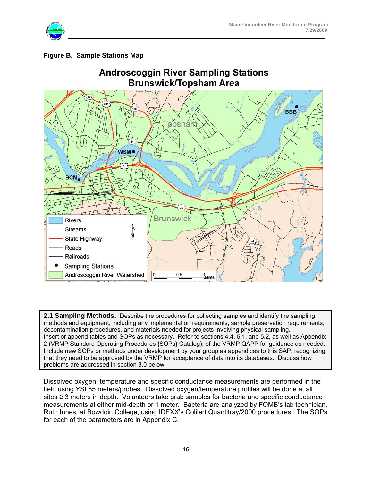

### **Figure B. Sample Stations Map**



**2.1 Sampling Methods.** Describe the procedures for collecting samples and identify the sampling methods and equipment, including any implementation requirements, sample preservation requirements, decontamination procedures, and materials needed for projects involving physical sampling. Insert or append tables and SOPs as necessary. Refer to sections 4.4, 5.1, and 5.2, as well as Appendix 2 (VRMP Standard Operating Procedures {SOPs} Catalog), of the VRMP QAPP for guidance as needed. Include new SOPs or methods under development by your group as appendices to this SAP, recognizing that they need to be approved by the VRMP for acceptance of data into its databases. Discuss how problems are addressed in section 3.0 below.

Dissolved oxygen, temperature and specific conductance measurements are performed in the field using YSI 85 meters/probes. Dissolved oxygen/temperature profiles will be done at all sites ≥ 3 meters in depth. Volunteers take grab samples for bacteria and specific conductance measurements at either mid-depth or 1 meter. Bacteria are analyzed by FOMB's lab technician, Ruth Innes, at Bowdoin College, using IDEXX's Colilert Quantitray/2000 procedures. The SOPs for each of the parameters are in Appendix C.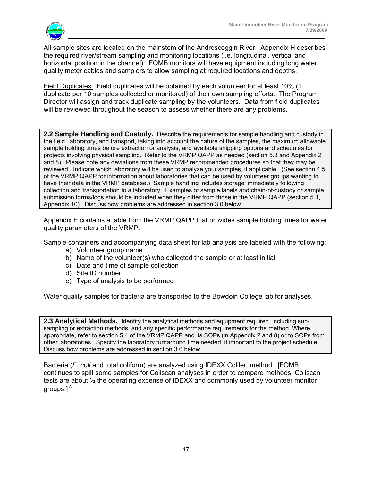

All sample sites are located on the mainstem of the Androscoggin River. Appendix H describes the required river/stream sampling and monitoring locations (i.e. longitudinal, vertical and horizontal position in the channel). FOMB monitors will have equipment including long water quality meter cables and samplers to allow sampling at required locations and depths.

Field Duplicates: Field duplicates will be obtained by each volunteer for at least 10% (1 duplicate per 10 samples collected or monitored) of their own sampling efforts. The Program Director will assign and track duplicate sampling by the volunteers. Data from field duplicates will be reviewed throughout the season to assess whether there are any problems.

**2.2 Sample Handling and Custody.** Describe the requirements for sample handling and custody in the field, laboratory, and transport, taking into account the nature of the samples, the maximum allowable sample holding times before extraction or analysis, and available shipping options and schedules for projects involving physical sampling. Refer to the VRMP QAPP as needed (section 5.3 and Appendix 2 and 8). Please note any deviations from these VRMP recommended procedures so that they may be reviewed. Indicate which laboratory will be used to analyze your samples, if applicable. (See section 4.5 of the VRMP QAPP for information about laboratories that can be used by volunteer groups wanting to have their data in the VRMP database.) Sample handling includes storage immediately following collection and transportation to a laboratory. Examples of sample labels and chain-of-custody or sample submission forms/logs should be included when they differ from those in the VRMP QAPP (section 5.3, Appendix 10). Discuss how problems are addressed in section 3.0 below.

Appendix E contains a table from the VRMP QAPP that provides sample holding times for water quality parameters of the VRMP.

Sample containers and accompanying data sheet for lab analysis are labeled with the following:

- a) Volunteer group name
- b) Name of the volunteer(s) who collected the sample or at least initial
- c) Date and time of sample collection
- d) Site ID number
- e) Type of analysis to be performed

Water quality samples for bacteria are transported to the Bowdoin College lab for analyses.

**2.3 Analytical Methods.** Identify the analytical methods and equipment required, including subsampling or extraction methods, and any specific performance requirements for the method. Where appropriate, refer to section 5.4 of the VRMP QAPP and its SOPs (in Appendix 2 and 8) or to SOPs from other laboratories. Specify the laboratory turnaround time needed, if important to the project schedule. Discuss how problems are addressed in section 3.0 below.

Bacteria (*E. coli* and total coliform) are analyzed using IDEXX Colilert method. [FOMB continues to split some samples for Coliscan analyses in order to compare methods. Coliscan tests are about ½ the operating expense of IDEXX and commonly used by volunteer monitor aroups. $1^{\Delta}$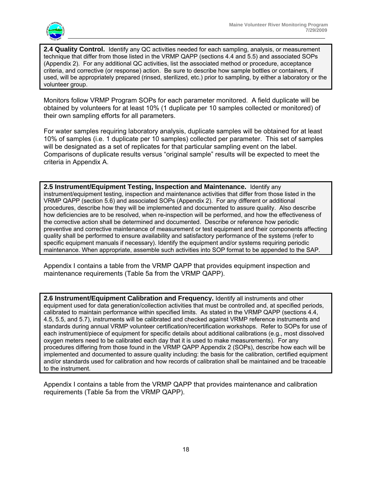

**2.4 Quality Control.** Identify any QC activities needed for each sampling, analysis, or measurement technique that differ from those listed in the VRMP QAPP (sections 4.4 and 5.5) and associated SOPs (Appendix 2). For any additional QC activities, list the associated method or procedure, acceptance criteria, and corrective (or response) action. Be sure to describe how sample bottles or containers, if used, will be appropriately prepared (rinsed, sterilized, etc.) prior to sampling, by either a laboratory or the volunteer group.

Monitors follow VRMP Program SOPs for each parameter monitored. A field duplicate will be obtained by volunteers for at least 10% (1 duplicate per 10 samples collected or monitored) of their own sampling efforts for all parameters.

For water samples requiring laboratory analysis, duplicate samples will be obtained for at least 10% of samples (i.e. 1 duplicate per 10 samples) collected per parameter. This set of samples will be designated as a set of replicates for that particular sampling event on the label. Comparisons of duplicate results versus "original sample" results will be expected to meet the criteria in Appendix A.

**2.5 Instrument/Equipment Testing, Inspection and Maintenance.** Identify any instrument/equipment testing, inspection and maintenance activities that differ from those listed in the VRMP QAPP (section 5.6) and associated SOPs (Appendix 2). For any different or additional procedures, describe how they will be implemented and documented to assure quality. Also describe how deficiencies are to be resolved, when re-inspection will be performed, and how the effectiveness of the corrective action shall be determined and documented. Describe or reference how periodic preventive and corrective maintenance of measurement or test equipment and their components affecting quality shall be performed to ensure availability and satisfactory performance of the systems (refer to specific equipment manuals if necessary). Identify the equipment and/or systems requiring periodic maintenance. When appropriate, assemble such activities into SOP format to be appended to the SAP.

Appendix I contains a table from the VRMP QAPP that provides equipment inspection and maintenance requirements (Table 5a from the VRMP QAPP).

**2.6 Instrument/Equipment Calibration and Frequency.** Identify all instruments and other equipment used for data generation/collection activities that must be controlled and, at specified periods, calibrated to maintain performance within specified limits. As stated in the VRMP QAPP (sections 4.4, 4.5, 5.5, and 5.7), instruments will be calibrated and checked against VRMP reference instruments and standards during annual VRMP volunteer certification/recertification workshops. Refer to SOPs for use of each instrument/piece of equipment for specific details about additional calibrations (e.g., most dissolved oxygen meters need to be calibrated each day that it is used to make measurements). For any procedures differing from those found in the VRMP QAPP Appendix 2 (SOPs), describe how each will be implemented and documented to assure quality including: the basis for the calibration, certified equipment and/or standards used for calibration and how records of calibration shall be maintained and be traceable to the instrument.

Appendix I contains a table from the VRMP QAPP that provides maintenance and calibration requirements (Table 5a from the VRMP QAPP).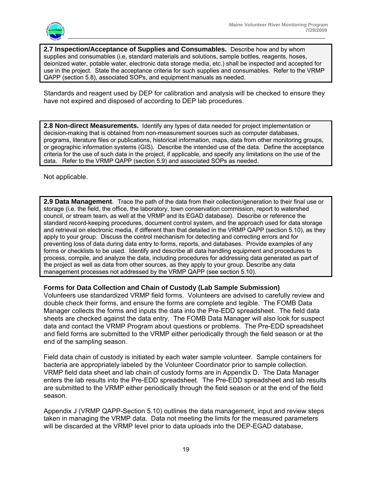

**2.7 Inspection/Acceptance of Supplies and Consumables.** Describe how and by whom supplies and consumables (i.e, standard materials and solutions, sample bottles, reagents, hoses, deionized water, potable water, electronic data storage media, etc.) shall be inspected and accepted for use in the project. State the acceptance criteria for such supplies and consumables. Refer to the VRMP QAPP (section 5.8), associated SOPs, and equipment manuals as needed.

Standards and reagent used by DEP for calibration and analysis will be checked to ensure they have not expired and disposed of according to DEP lab procedures.

**2.8 Non-direct Measurements.** Identify any types of data needed for project implementation or decision-making that is obtained from non-measurement sources such as computer databases, programs, literature files or publications, historical information, maps, data from other monitoring groups, or geographic information systems (GIS). Describe the intended use of the data. Define the acceptance criteria for the use of such data in the project, if applicable, and specify any limitations on the use of the data. Refer to the VRMP QAPP (section 5.9) and associated SOPs as needed.

Not applicable.

**2.9 Data Management**. Trace the path of the data from their collection/generation to their final use or storage (i.e. the field, the office, the laboratory, town conservation commission, report to watershed council, or stream team, as well at the VRMP and its EGAD database). Describe or reference the standard record-keeping procedures, document control system, and the approach used for data storage and retrieval on electronic media, if different than that detailed in the VRMP QAPP (section 5.10), as they apply to your group. Discuss the control mechanism for detecting and correcting errors and for preventing loss of data during data entry to forms, reports, and databases. Provide examples of any forms or checklists to be used. Identify and describe all data handling equipment and procedures to process, compile, and analyze the data, including procedures for addressing data generated as part of the project as well as data from other sources, as they apply to your group. Describe any data management processes not addressed by the VRMP QAPP (see section 5.10).

#### **Forms for Data Collection and Chain of Custody (Lab Sample Submission)**

Volunteers use standardized VRMP field forms. Volunteers are advised to carefully review and double check their forms, and ensure the forms are complete and legible. The FOMB Data Manager collects the forms and inputs the data into the Pre-EDD spreadsheet. The field data sheets are checked against the data entry. The FOMB Data Manager will also look for suspect data and contact the VRMP Program about questions or problems. The Pre-EDD spreadsheet and field forms are submitted to the VRMP either periodically through the field season or at the end of the sampling season.

Field data chain of custody is initiated by each water sample volunteer. Sample containers for bacteria are appropriately labeled by the Volunteer Coordinator prior to sample collection. VRMP field data sheet and lab chain of custody forms are in Appendix D. The Data Manager enters the lab results into the Pre-EDD spreadsheet. The Pre-EDD spreadsheet and lab results are submitted to the VRMP either periodically through the field season or at the end of the field season.

Appendix J (VRMP QAPP-Section 5.10) outlines the data management, input and review steps taken in managing the VRMP data. Data not meeting the limits for the measured parameters will be discarded at the VRMP level prior to data uploads into the DEP-EGAD database,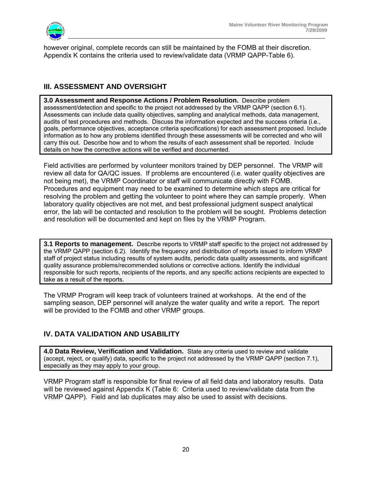

however original, complete records can still be maintained by the FOMB at their discretion. Appendix K contains the criteria used to review/validate data (VRMP QAPP-Table 6).

## **III. ASSESSMENT AND OVERSIGHT**

**3.0 Assessment and Response Actions / Problem Resolution.** Describe problem assessment/detection and specific to the project not addressed by the VRMP QAPP (section 6.1). Assessments can include data quality objectives, sampling and analytical methods, data management, audits of test procedures and methods. Discuss the information expected and the success criteria (i.e., goals, performance objectives, acceptance criteria specifications) for each assessment proposed. Include information as to how any problems identified through these assessments will be corrected and who will carry this out. Describe how and to whom the results of each assessment shall be reported. Include details on how the corrective actions will be verified and documented.

Field activities are performed by volunteer monitors trained by DEP personnel. The VRMP will review all data for QA/QC issues. If problems are encountered (i.e. water quality objectives are not being met), the VRMP Coordinator or staff will communicate directly with FOMB. Procedures and equipment may need to be examined to determine which steps are critical for resolving the problem and getting the volunteer to point where they can sample properly. When laboratory quality objectives are not met, and best professional judgment suspect analytical error, the lab will be contacted and resolution to the problem will be sought. Problems detection and resolution will be documented and kept on files by the VRMP Program.

**3.1 Reports to management.**Describe reports to VRMP staff specific to the project not addressed by the VRMP QAPP (section 6.2). Identify the frequency and distribution of reports issued to inform VRMP staff of project status including results of system audits, periodic data quality assessments, and significant quality assurance problems/recommended solutions or corrective actions. Identify the individual responsible for such reports, recipients of the reports, and any specific actions recipients are expected to take as a result of the reports.

The VRMP Program will keep track of volunteers trained at workshops. At the end of the sampling season, DEP personnel will analyze the water quality and write a report. The report will be provided to the FOMB and other VRMP groups.

## **IV. DATA VALIDATION AND USABILITY**

**4.0 Data Review, Verification and Validation.** State any criteria used to review and validate (accept, reject, or qualify) data, specific to the project not addressed by the VRMP QAPP (section 7.1), especially as they may apply to your group.

VRMP Program staff is responsible for final review of all field data and laboratory results. Data will be reviewed against Appendix K (Table 6: Criteria used to review/validate data from the VRMP QAPP). Field and lab duplicates may also be used to assist with decisions.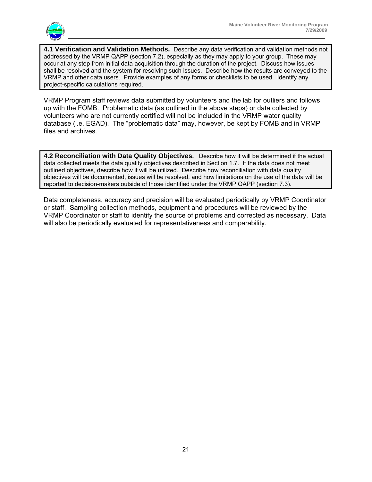

**4.1 Verification and Validation Methods.** Describe any data verification and validation methods not addressed by the VRMP QAPP (section 7.2), especially as they may apply to your group. These may occur at any step from initial data acquisition through the duration of the project. Discuss how issues shall be resolved and the system for resolving such issues. Describe how the results are conveyed to the VRMP and other data users. Provide examples of any forms or checklists to be used. Identify any project-specific calculations required.

VRMP Program staff reviews data submitted by volunteers and the lab for outliers and follows up with the FOMB. Problematic data (as outlined in the above steps) or data collected by volunteers who are not currently certified will not be included in the VRMP water quality database (i.e. EGAD). The "problematic data" may, however, be kept by FOMB and in VRMP files and archives.

**4.2 Reconciliation with Data Quality Objectives.** Describe how it will be determined if the actual data collected meets the data quality objectives described in Section 1.7. If the data does not meet outlined objectives, describe how it will be utilized. Describe how reconciliation with data quality objectives will be documented, issues will be resolved, and how limitations on the use of the data will be reported to decision-makers outside of those identified under the VRMP QAPP (section 7.3).

Data completeness, accuracy and precision will be evaluated periodically by VRMP Coordinator or staff. Sampling collection methods, equipment and procedures will be reviewed by the VRMP Coordinator or staff to identify the source of problems and corrected as necessary. Data will also be periodically evaluated for representativeness and comparability.